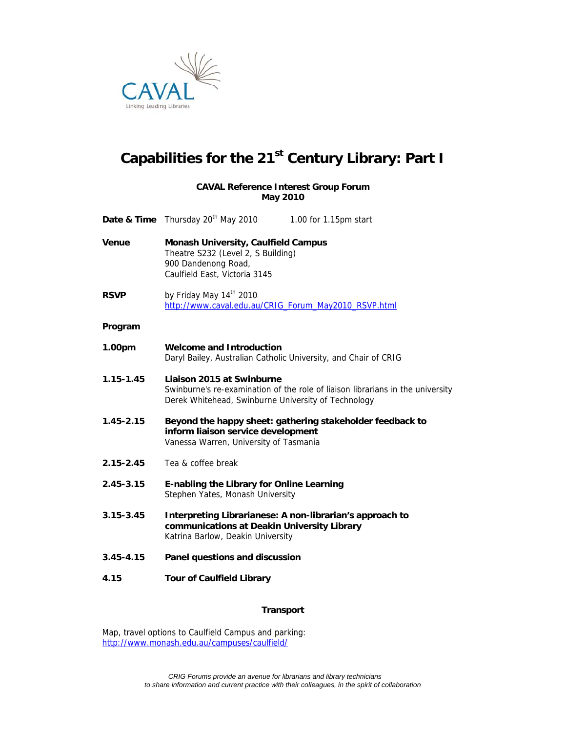

# Capabilities for the 21<sup>st</sup> Century Library: Part I

## **CAVAL Reference Interest Group Forum May 2010**

|               | <b>Date &amp; Time</b> Thursday 20 <sup>th</sup> May 2010                                                                                                          | 1.00 for 1.15pm start |
|---------------|--------------------------------------------------------------------------------------------------------------------------------------------------------------------|-----------------------|
| <b>Venue</b>  | <b>Monash University, Caulfield Campus</b><br>Theatre S232 (Level 2, S Building)<br>900 Dandenong Road,<br>Caulfield East, Victoria 3145                           |                       |
| <b>RSVP</b>   | by Friday May 14 <sup>th</sup> 2010<br>http://www.caval.edu.au/CRIG Forum May2010 RSVP.html                                                                        |                       |
| Program       |                                                                                                                                                                    |                       |
| 1.00pm        | <b>Welcome and Introduction</b><br>Daryl Bailey, Australian Catholic University, and Chair of CRIG                                                                 |                       |
| $1.15 - 1.45$ | Liaison 2015 at Swinburne<br>Swinburne's re-examination of the role of liaison librarians in the university<br>Derek Whitehead, Swinburne University of Technology |                       |
| $1.45 - 2.15$ | Beyond the happy sheet: gathering stakeholder feedback to<br>inform liaison service development<br>Vanessa Warren, University of Tasmania                          |                       |
| $2.15 - 2.45$ | Tea & coffee break                                                                                                                                                 |                       |
| $2.45 - 3.15$ | E-nabling the Library for Online Learning<br>Stephen Yates, Monash University                                                                                      |                       |
| $3.15 - 3.45$ | Interpreting Librarianese: A non-librarian's approach to<br>communications at Deakin University Library<br>Katrina Barlow, Deakin University                       |                       |
| $3.45 - 4.15$ | Panel questions and discussion                                                                                                                                     |                       |
| 4.15          | <b>Tour of Caulfield Library</b>                                                                                                                                   |                       |

# **Transport**

Map, travel options to Caulfield Campus and parking: http://www.monash.edu.au/campuses/caulfield/